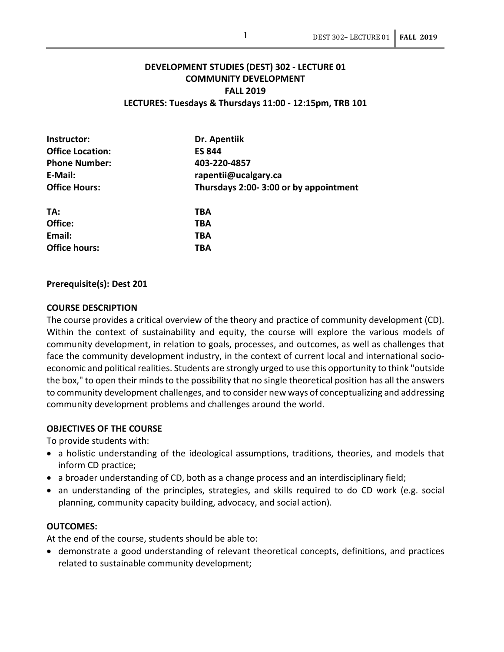# **DEVELOPMENT STUDIES (DEST) 302 - LECTURE 01 COMMUNITY DEVELOPMENT FALL 2019 LECTURES: Tuesdays & Thursdays 11:00 - 12:15pm, TRB 101**

| Instructor:             | Dr. Apentiik<br><b>ES 844</b>         |  |  |
|-------------------------|---------------------------------------|--|--|
| <b>Office Location:</b> |                                       |  |  |
| <b>Phone Number:</b>    | 403-220-4857<br>rapentii@ucalgary.ca  |  |  |
| E-Mail:                 |                                       |  |  |
| <b>Office Hours:</b>    | Thursdays 2:00-3:00 or by appointment |  |  |
| TA:                     | TBA                                   |  |  |
| Office:                 | TBA                                   |  |  |
| Email:                  | TBA                                   |  |  |
| <b>Office hours:</b>    | TBA                                   |  |  |
|                         |                                       |  |  |

#### **Prerequisite(s): Dest 201**

#### **COURSE DESCRIPTION**

The course provides a critical overview of the theory and practice of community development (CD). Within the context of sustainability and equity, the course will explore the various models of community development, in relation to goals, processes, and outcomes, as well as challenges that face the community development industry, in the context of current local and international socioeconomic and political realities. Students are strongly urged to use this opportunity to think "outside the box," to open their minds to the possibility that no single theoretical position has all the answers to community development challenges, and to consider new ways of conceptualizing and addressing community development problems and challenges around the world.

#### **OBJECTIVES OF THE COURSE**

To provide students with:

- a holistic understanding of the ideological assumptions, traditions, theories, and models that inform CD practice;
- a broader understanding of CD, both as a change process and an interdisciplinary field;
- an understanding of the principles, strategies, and skills required to do CD work (e.g. social planning, community capacity building, advocacy, and social action).

## **OUTCOMES:**

At the end of the course, students should be able to:

• demonstrate a good understanding of relevant theoretical concepts, definitions, and practices related to sustainable community development;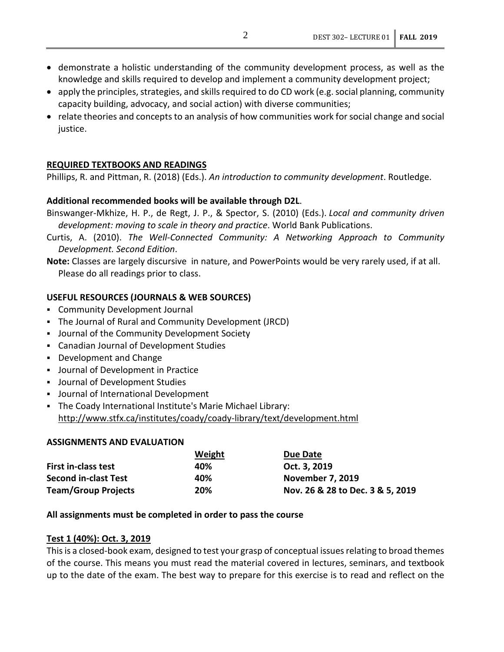- demonstrate a holistic understanding of the community development process, as well as the knowledge and skills required to develop and implement a community development project;
- apply the principles, strategies, and skills required to do CD work (e.g. social planning, community capacity building, advocacy, and social action) with diverse communities;
- relate theories and concepts to an analysis of how communities work for social change and social justice.

# **REQUIRED TEXTBOOKS AND READINGS**

Phillips, R. and Pittman, R. (2018) (Eds.). *An introduction to community development*. Routledge.

## **Additional recommended books will be available through D2L**.

- Binswanger-Mkhize, H. P., de Regt, J. P., & Spector, S. (2010) (Eds.). *Local and community driven development: moving to scale in theory and practice*. World Bank Publications.
- Curtis, A. (2010). *The Well-Connected Community: A Networking Approach to Community Development. Second Edition*.

**Note:** Classes are largely discursive in nature, and PowerPoints would be very rarely used, if at all. Please do all readings prior to class.

## **USEFUL RESOURCES (JOURNALS & WEB SOURCES)**

- Community Development Journal
- The Journal of Rural and Community Development (JRCD)
- Journal of the Community Development Society
- Canadian Journal of Development Studies
- Development and Change
- Journal of Development in Practice
- Journal of Development Studies
- Journal of International Development
- The Coady International Institute's Marie Michael Library: <http://www.stfx.ca/institutes/coady/coady-library/text/development.html>

## **ASSIGNMENTS AND EVALUATION**

|                             | Weight | Due Date                         |
|-----------------------------|--------|----------------------------------|
| <b>First in-class test</b>  | 40%    | Oct. 3, 2019                     |
| <b>Second in-clast Test</b> | 40%    | <b>November 7, 2019</b>          |
| <b>Team/Group Projects</b>  | 20%    | Nov. 26 & 28 to Dec. 3 & 5, 2019 |

## **All assignments must be completed in order to pass the course**

#### **Test 1 (40%): Oct. 3, 2019**

This is a closed-book exam, designed to test your grasp of conceptual issues relating to broad themes of the course. This means you must read the material covered in lectures, seminars, and textbook up to the date of the exam. The best way to prepare for this exercise is to read and reflect on the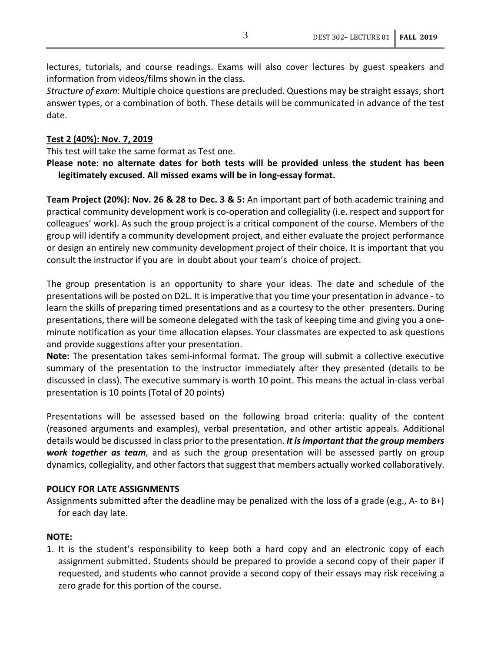lectures, tutorials, and course readings. Exams will also cover lectures by guest speakers and information from videos/films shown in the class.

*Structure of exam*: Multiple choice questions are precluded. Questions may be straight essays, short answer types, or a combination of both. These details will be communicated in advance of the test date.

#### **Test 2 (40%): Nov. 7, 2019**

This test will take the same format as Test one.

**Please note: no alternate dates for both tests will be provided unless the student has been legitimately excused. All missed exams will be in long-essay format.** 

**Team Project (20%): Nov. 26 & 28 to Dec. 3 & 5:** An important part of both academic training and practical community development work is co-operation and collegiality (i.e. respect and support for colleagues' work). As such the group project is a critical component of the course. Members of the group will identify a community development project, and either evaluate the project performance or design an entirely new community development project of their choice. It is important that you consult the instructor if you are in doubt about your team's choice of project.

The group presentation is an opportunity to share your ideas. The date and schedule of the presentations will be posted on D2L. It is imperative that you time your presentation in advance - to learn the skills of preparing timed presentations and as a courtesy to the other presenters. During presentations, there will be someone delegated with the task of keeping time and giving you a oneminute notification as your time allocation elapses. Your classmates are expected to ask questions and provide suggestions after your presentation.

**Note:** The presentation takes semi-informal format. The group will submit a collective executive summary of the presentation to the instructor immediately after they presented (details to be discussed in class). The executive summary is worth 10 point. This means the actual in-class verbal presentation is 10 points (Total of 20 points)

Presentations will be assessed based on the following broad criteria: quality of the content (reasoned arguments and examples), verbal presentation, and other artistic appeals. Additional details would be discussed in class prior to the presentation. *It is important that the group members work together as team*, and as such the group presentation will be assessed partly on group dynamics, collegiality, and other factors that suggest that members actually worked collaboratively.

#### **POLICY FOR LATE ASSIGNMENTS**

Assignments submitted after the deadline may be penalized with the loss of a grade (e.g., A- to B+) for each day late.

## **NOTE:**

1. It is the student's responsibility to keep both a hard copy and an electronic copy of each assignment submitted. Students should be prepared to provide a second copy of their paper if requested, and students who cannot provide a second copy of their essays may risk receiving a zero grade for this portion of the course.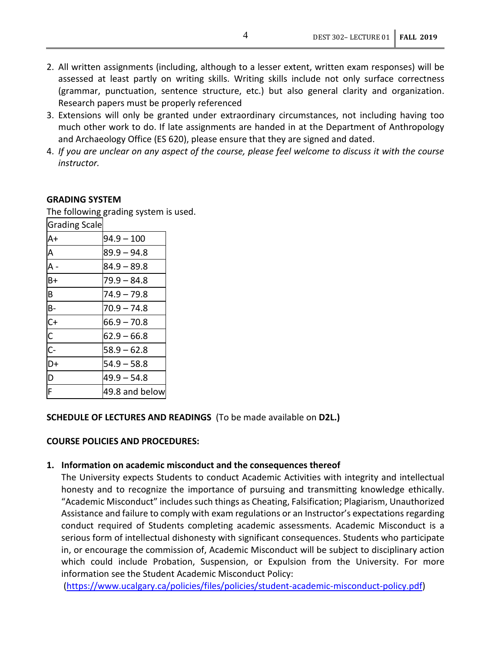- 2. All written assignments (including, although to a lesser extent, written exam responses) will be assessed at least partly on writing skills. Writing skills include not only surface correctness (grammar, punctuation, sentence structure, etc.) but also general clarity and organization. Research papers must be properly referenced
- 3. Extensions will only be granted under extraordinary circumstances, not including having too much other work to do. If late assignments are handed in at the Department of Anthropology and Archaeology Office (ES 620), please ensure that they are signed and dated.
- 4. *If you are unclear on any aspect of the course, please feel welcome to discuss it with the course instructor.*

#### **GRADING SYSTEM**

The following grading system is used.

| The following grading system |               |
|------------------------------|---------------|
| <b>Grading Scale</b>         |               |
| $A+$                         | $94.9 - 100$  |
| A                            | $89.9 - 94.8$ |
| A                            | $84.9 - 89.8$ |
| $B+$                         | $79.9 - 84.8$ |
| B                            | $74.9 - 79.8$ |
| $B -$                        | $70.9 - 74.8$ |
|                              | $66.9 - 70.8$ |
| $rac{C}{C}$                  | $62.9 - 66.8$ |
| $\overline{C}$               | $58.9 - 62.8$ |
| ID+                          | $54.9 - 58.8$ |

D  $\vert 49.9 - 54.8 \vert$ 

## **SCHEDULE OF LECTURES AND READINGS** (To be made available on **D2L.)**

#### **COURSE POLICIES AND PROCEDURES:**

49.8 and below

#### **1. Information on academic misconduct and the consequences thereof**

The University expects Students to conduct Academic Activities with integrity and intellectual honesty and to recognize the importance of pursuing and transmitting knowledge ethically. "Academic Misconduct" includes such things as Cheating, Falsification; Plagiarism, Unauthorized Assistance and failure to comply with exam regulations or an Instructor's expectations regarding conduct required of Students completing academic assessments. Academic Misconduct is a serious form of intellectual dishonesty with significant consequences. Students who participate in, or encourage the commission of, Academic Misconduct will be subject to disciplinary action which could include Probation, Suspension, or Expulsion from the University. For more information see the Student Academic Misconduct Policy:

[\(https://www.ucalgary.ca/policies/files/policies/student-academic-misconduct-policy.pdf\)](https://www.ucalgary.ca/policies/files/policies/student-academic-misconduct-policy.pdf)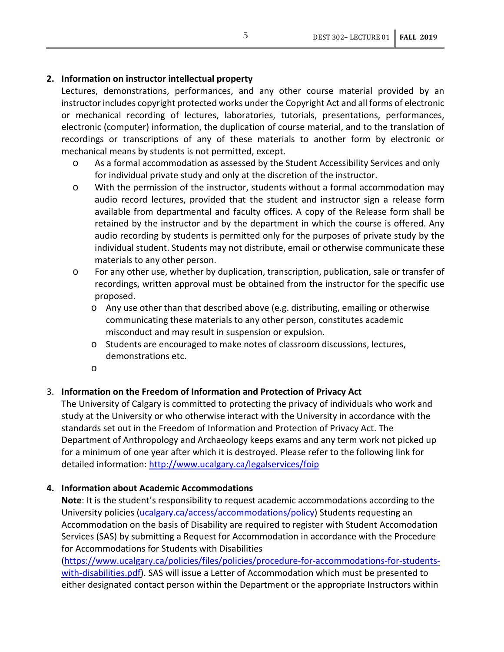# **2. Information on instructor intellectual property**

Lectures, demonstrations, performances, and any other course material provided by an instructor includes copyright protected works under the Copyright Act and all forms of electronic or mechanical recording of lectures, laboratories, tutorials, presentations, performances, electronic (computer) information, the duplication of course material, and to the translation of recordings or transcriptions of any of these materials to another form by electronic or mechanical means by students is not permitted, except.

- o As a formal accommodation as assessed by the Student Accessibility Services and only for individual private study and only at the discretion of the instructor.
- o With the permission of the instructor, students without a formal accommodation may audio record lectures, provided that the student and instructor sign a release form available from departmental and faculty offices. A copy of the Release form shall be retained by the instructor and by the department in which the course is offered. Any audio recording by students is permitted only for the purposes of private study by the individual student. Students may not distribute, email or otherwise communicate these materials to any other person.
- o For any other use, whether by duplication, transcription, publication, sale or transfer of recordings, written approval must be obtained from the instructor for the specific use proposed.
	- o Any use other than that described above (e.g. distributing, emailing or otherwise communicating these materials to any other person, constitutes academic misconduct and may result in suspension or expulsion.
	- o Students are encouraged to make notes of classroom discussions, lectures, demonstrations etc.
	- o

# 3. **Information on the Freedom of Information and Protection of Privacy Act**

The University of Calgary is committed to protecting the privacy of individuals who work and study at the University or who otherwise interact with the University in accordance with the standards set out in the Freedom of Information and Protection of Privacy Act. The Department of Anthropology and Archaeology keeps exams and any term work not picked up for a minimum of one year after which it is destroyed. Please refer to the following link for detailed information:<http://www.ucalgary.ca/legalservices/foip>

# **4. Information about Academic Accommodations**

**Note**: It is the student's responsibility to request academic accommodations according to the University policies [\(ucalgary.ca/access/accommodations/policy\)](https://ucalgary.ca/access/accommodations/policy) Students requesting an Accommodation on the basis of Disability are required to register with Student Accomodation Services (SAS) by submitting a Request for Accommodation in accordance with the Procedure for Accommodations for Students with Disabilities

[\(https://www.ucalgary.ca/policies/files/policies/procedure-for-accommodations-for-students](https://www.ucalgary.ca/policies/files/policies/procedure-for-accommodations-for-students-with-disabilities.pdf)[with-disabilities.pdf\)](https://www.ucalgary.ca/policies/files/policies/procedure-for-accommodations-for-students-with-disabilities.pdf). SAS will issue a Letter of Accommodation which must be presented to either designated contact person within the Department or the appropriate Instructors within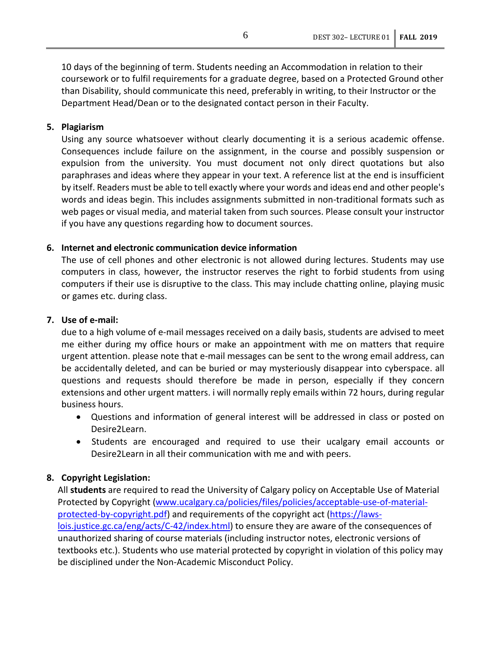10 days of the beginning of term. Students needing an Accommodation in relation to their coursework or to fulfil requirements for a graduate degree, based on a Protected Ground other than Disability, should communicate this need, preferably in writing, to their Instructor or the Department Head/Dean or to the designated contact person in their Faculty.

## **5. Plagiarism**

Using any source whatsoever without clearly documenting it is a serious academic offense. Consequences include failure on the assignment, in the course and possibly suspension or expulsion from the university. You must document not only direct quotations but also paraphrases and ideas where they appear in your text. A reference list at the end is insufficient by itself. Readers must be able to tell exactly where your words and ideas end and other people's words and ideas begin. This includes assignments submitted in non-traditional formats such as web pages or visual media, and material taken from such sources. Please consult your instructor if you have any questions regarding how to document sources.

#### **6. Internet and electronic communication device information**

The use of cell phones and other electronic is not allowed during lectures. Students may use computers in class, however, the instructor reserves the right to forbid students from using computers if their use is disruptive to the class. This may include chatting online, playing music or games etc. during class.

# **7. Use of e-mail:**

due to a high volume of e-mail messages received on a daily basis, students are advised to meet me either during my office hours or make an appointment with me on matters that require urgent attention. please note that e-mail messages can be sent to the wrong email address, can be accidentally deleted, and can be buried or may mysteriously disappear into cyberspace. all questions and requests should therefore be made in person, especially if they concern extensions and other urgent matters. i will normally reply emails within 72 hours, during regular business hours.

- Questions and information of general interest will be addressed in class or posted on Desire2Learn.
- Students are encouraged and required to use their ucalgary email accounts or Desire2Learn in all their communication with me and with peers.

## **8. Copyright Legislation:**

All **students** are required to read the University of Calgary policy on Acceptable Use of Material Protected by Copyright [\(www.ucalgary.ca/policies/files/policies/acceptable-use-of-material](http://www.ucalgary.ca/policies/files/policies/acceptable-use-of-material-protected-by-copyright.pdf)[protected-by-copyright.pdf\)](http://www.ucalgary.ca/policies/files/policies/acceptable-use-of-material-protected-by-copyright.pdf) and requirements of the copyright act [\(https://laws](https://laws-lois.justice.gc.ca/eng/acts/C-42/index.html)[lois.justice.gc.ca/eng/acts/C-42/index.html\)](https://laws-lois.justice.gc.ca/eng/acts/C-42/index.html) to ensure they are aware of the consequences of unauthorized sharing of course materials (including instructor notes, electronic versions of textbooks etc.). Students who use material protected by copyright in violation of this policy may be disciplined under the Non-Academic Misconduct Policy.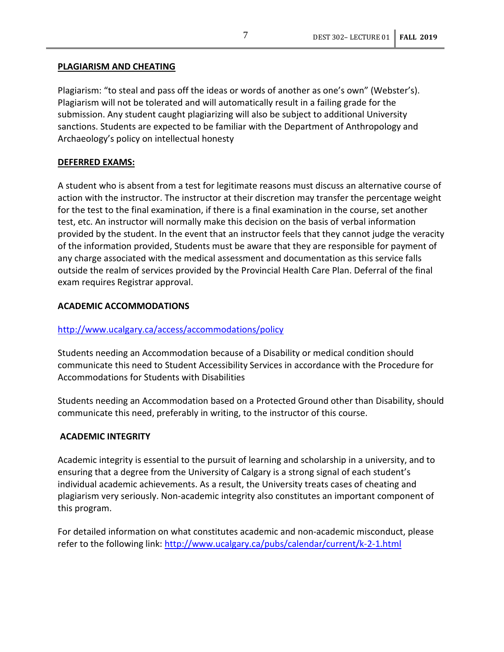## **PLAGIARISM AND CHEATING**

Plagiarism: "to steal and pass off the ideas or words of another as one's own" (Webster's). Plagiarism will not be tolerated and will automatically result in a failing grade for the submission. Any student caught plagiarizing will also be subject to additional University sanctions. Students are expected to be familiar with the Department of Anthropology and Archaeology's policy on intellectual honesty

# **DEFERRED EXAMS:**

A student who is absent from a test for legitimate reasons must discuss an alternative course of action with the instructor. The instructor at their discretion may transfer the percentage weight for the test to the final examination, if there is a final examination in the course, set another test, etc. An instructor will normally make this decision on the basis of verbal information provided by the student. In the event that an instructor feels that they cannot judge the veracity of the information provided, Students must be aware that they are responsible for payment of any charge associated with the medical assessment and documentation as this service falls outside the realm of services provided by the Provincial Health Care Plan. Deferral of the final exam requires Registrar approval.

## **ACADEMIC ACCOMMODATIONS**

# <http://www.ucalgary.ca/access/accommodations/policy>

Students needing an Accommodation because of a Disability or medical condition should communicate this need to Student Accessibility Services in accordance with the Procedure for Accommodations for Students with Disabilities

Students needing an Accommodation based on a Protected Ground other than Disability, should communicate this need, preferably in writing, to the instructor of this course.

## **ACADEMIC INTEGRITY**

Academic integrity is essential to the pursuit of learning and scholarship in a university, and to ensuring that a degree from the University of Calgary is a strong signal of each student's individual academic achievements. As a result, the University treats cases of cheating and plagiarism very seriously. Non-academic integrity also constitutes an important component of this program.

For detailed information on what constitutes academic and non-academic misconduct, please refer to the following link:<http://www.ucalgary.ca/pubs/calendar/current/k-2-1.html>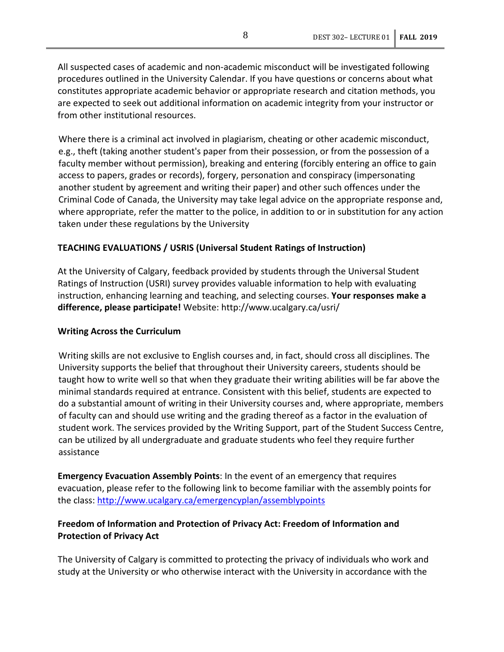All suspected cases of academic and non-academic misconduct will be investigated following procedures outlined in the University Calendar. If you have questions or concerns about what constitutes appropriate academic behavior or appropriate research and citation methods, you are expected to seek out additional information on academic integrity from your instructor or from other institutional resources.

Where there is a criminal act involved in plagiarism, cheating or other academic misconduct, e.g., theft (taking another student's paper from their possession, or from the possession of a faculty member without permission), breaking and entering (forcibly entering an office to gain access to papers, grades or records), forgery, personation and conspiracy (impersonating another student by agreement and writing their paper) and other such offences under the Criminal Code of Canada, the University may take legal advice on the appropriate response and, where appropriate, refer the matter to the police, in addition to or in substitution for any action taken under these regulations by the University

## **TEACHING EVALUATIONS / USRIS (Universal Student Ratings of Instruction)**

At the University of Calgary, feedback provided by students through the Universal Student Ratings of Instruction (USRI) survey provides valuable information to help with evaluating instruction, enhancing learning and teaching, and selecting courses. **Your responses make a difference, please participate!** Website: http://www.ucalgary.ca/usri/

## **Writing Across the Curriculum**

Writing skills are not exclusive to English courses and, in fact, should cross all disciplines. The University supports the belief that throughout their University careers, students should be taught how to write well so that when they graduate their writing abilities will be far above the minimal standards required at entrance. Consistent with this belief, students are expected to do a substantial amount of writing in their University courses and, where appropriate, members of faculty can and should use writing and the grading thereof as a factor in the evaluation of student work. The services provided by the Writing Support, part of the Student Success Centre, can be utilized by all undergraduate and graduate students who feel they require further assistance

**Emergency Evacuation Assembly Points**: In the event of an emergency that requires evacuation, please refer to the following link to become familiar with the assembly points for the class:<http://www.ucalgary.ca/emergencyplan/assemblypoints>

# **Freedom of Information and Protection of Privacy Act: Freedom of Information and Protection of Privacy Act**

The University of Calgary is committed to protecting the privacy of individuals who work and study at the University or who otherwise interact with the University in accordance with the